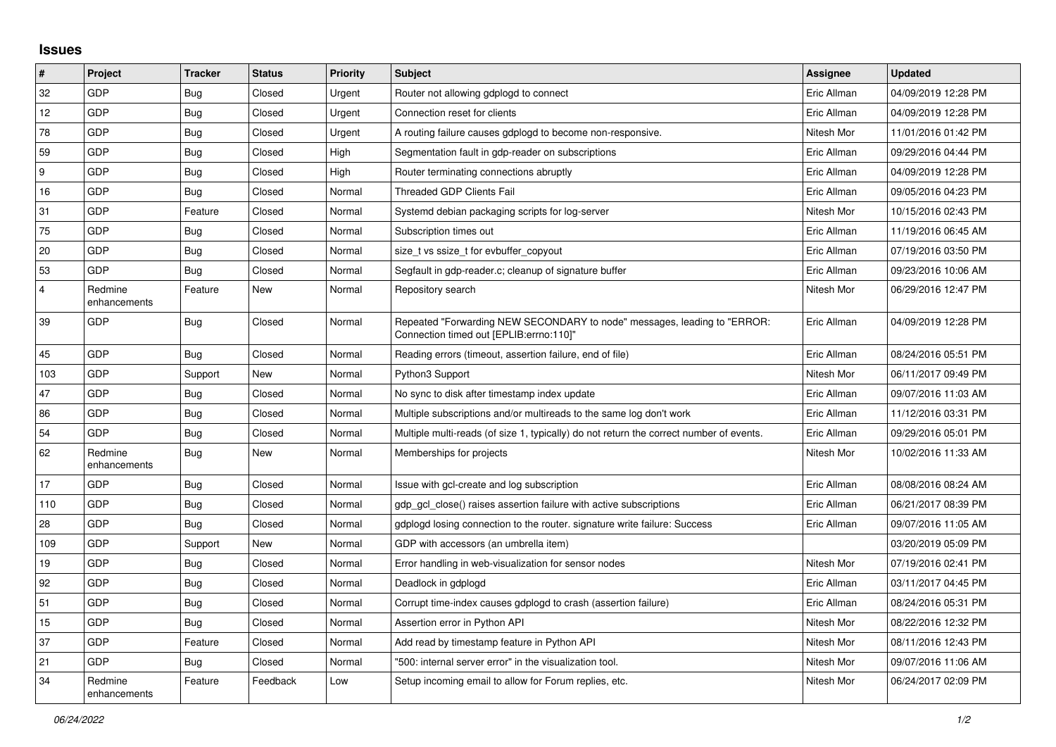## **Issues**

| $\vert$ #        | Project                 | <b>Tracker</b> | <b>Status</b> | <b>Priority</b> | <b>Subject</b>                                                                                                      | <b>Assignee</b> | <b>Updated</b>      |
|------------------|-------------------------|----------------|---------------|-----------------|---------------------------------------------------------------------------------------------------------------------|-----------------|---------------------|
| 32               | GDP                     | Bug            | Closed        | Urgent          | Router not allowing gdplogd to connect                                                                              | Eric Allman     | 04/09/2019 12:28 PM |
| 12               | GDP                     | Bug            | Closed        | Urgent          | Connection reset for clients                                                                                        | Eric Allman     | 04/09/2019 12:28 PM |
| 78               | GDP                     | <b>Bug</b>     | Closed        | Urgent          | A routing failure causes gdplogd to become non-responsive.                                                          | Nitesh Mor      | 11/01/2016 01:42 PM |
| 59               | GDP                     | Bug            | Closed        | High            | Segmentation fault in gdp-reader on subscriptions                                                                   | Eric Allman     | 09/29/2016 04:44 PM |
| $\boldsymbol{9}$ | GDP                     | Bug            | Closed        | High            | Router terminating connections abruptly                                                                             | Eric Allman     | 04/09/2019 12:28 PM |
| 16               | GDP                     | Bug            | Closed        | Normal          | <b>Threaded GDP Clients Fail</b>                                                                                    | Eric Allman     | 09/05/2016 04:23 PM |
| 31               | <b>GDP</b>              | Feature        | Closed        | Normal          | Systemd debian packaging scripts for log-server                                                                     | Nitesh Mor      | 10/15/2016 02:43 PM |
| 75               | GDP                     | <b>Bug</b>     | Closed        | Normal          | Subscription times out                                                                                              | Eric Allman     | 11/19/2016 06:45 AM |
| 20               | GDP                     | Bug            | Closed        | Normal          | size t vs ssize t for evbuffer copyout                                                                              | Eric Allman     | 07/19/2016 03:50 PM |
| 53               | <b>GDP</b>              | Bug            | Closed        | Normal          | Segfault in gdp-reader.c; cleanup of signature buffer                                                               | Eric Allman     | 09/23/2016 10:06 AM |
| $\overline{4}$   | Redmine<br>enhancements | Feature        | New           | Normal          | Repository search                                                                                                   | Nitesh Mor      | 06/29/2016 12:47 PM |
| 39               | GDP                     | Bug            | Closed        | Normal          | Repeated "Forwarding NEW SECONDARY to node" messages, leading to "ERROR:<br>Connection timed out [EPLIB:errno:110]" | Eric Allman     | 04/09/2019 12:28 PM |
| 45               | GDP                     | Bug            | Closed        | Normal          | Reading errors (timeout, assertion failure, end of file)                                                            | Eric Allman     | 08/24/2016 05:51 PM |
| 103              | GDP                     | Support        | New           | Normal          | Python3 Support                                                                                                     | Nitesh Mor      | 06/11/2017 09:49 PM |
| 47               | GDP                     | <b>Bug</b>     | Closed        | Normal          | No sync to disk after timestamp index update                                                                        | Eric Allman     | 09/07/2016 11:03 AM |
| 86               | GDP                     | <b>Bug</b>     | Closed        | Normal          | Multiple subscriptions and/or multireads to the same log don't work                                                 | Eric Allman     | 11/12/2016 03:31 PM |
| 54               | <b>GDP</b>              | Bug            | Closed        | Normal          | Multiple multi-reads (of size 1, typically) do not return the correct number of events.                             | Eric Allman     | 09/29/2016 05:01 PM |
| 62               | Redmine<br>enhancements | Bug            | New           | Normal          | Memberships for projects                                                                                            | Nitesh Mor      | 10/02/2016 11:33 AM |
| 17               | GDP                     | Bug            | Closed        | Normal          | Issue with gcl-create and log subscription                                                                          | Eric Allman     | 08/08/2016 08:24 AM |
| 110              | GDP                     | Bug            | Closed        | Normal          | gdp gcl close() raises assertion failure with active subscriptions                                                  | Eric Allman     | 06/21/2017 08:39 PM |
| 28               | GDP                     | Bug            | Closed        | Normal          | gdplogd losing connection to the router, signature write failure: Success                                           | Eric Allman     | 09/07/2016 11:05 AM |
| 109              | <b>GDP</b>              | Support        | New           | Normal          | GDP with accessors (an umbrella item)                                                                               |                 | 03/20/2019 05:09 PM |
| 19               | <b>GDP</b>              | Bug            | Closed        | Normal          | Error handling in web-visualization for sensor nodes                                                                | Nitesh Mor      | 07/19/2016 02:41 PM |
| 92               | GDP                     | <b>Bug</b>     | Closed        | Normal          | Deadlock in gdplogd                                                                                                 | Eric Allman     | 03/11/2017 04:45 PM |
| 51               | <b>GDP</b>              | <b>Bug</b>     | Closed        | Normal          | Corrupt time-index causes gdplogd to crash (assertion failure)                                                      | Eric Allman     | 08/24/2016 05:31 PM |
| 15               | GDP                     | Bug            | Closed        | Normal          | Assertion error in Python API                                                                                       | Nitesh Mor      | 08/22/2016 12:32 PM |
| 37               | GDP                     | Feature        | Closed        | Normal          | Add read by timestamp feature in Python API                                                                         | Nitesh Mor      | 08/11/2016 12:43 PM |
| 21               | <b>GDP</b>              | Bug            | Closed        | Normal          | "500: internal server error" in the visualization tool.                                                             | Nitesh Mor      | 09/07/2016 11:06 AM |
| 34               | Redmine<br>enhancements | Feature        | Feedback      | Low             | Setup incoming email to allow for Forum replies, etc.                                                               | Nitesh Mor      | 06/24/2017 02:09 PM |